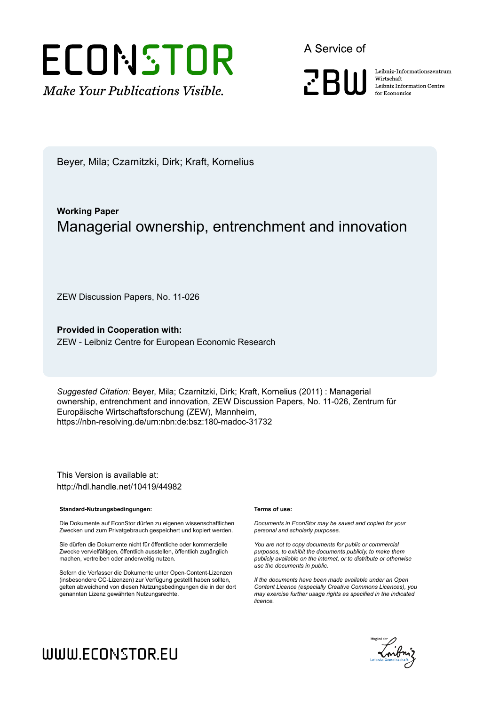

A Service of



Leibniz Informationszentrum Wirtschaft Leibniz Information Centre for Economics

Beyer, Mila; Czarnitzki, Dirk; Kraft, Kornelius

# **Working Paper** Managerial ownership, entrenchment and innovation

ZEW Discussion Papers, No. 11-026

**Provided in Cooperation with:** ZEW - Leibniz Centre for European Economic Research

*Suggested Citation:* Beyer, Mila; Czarnitzki, Dirk; Kraft, Kornelius (2011) : Managerial ownership, entrenchment and innovation, ZEW Discussion Papers, No. 11-026, Zentrum für Europäische Wirtschaftsforschung (ZEW), Mannheim, https://nbn-resolving.de/urn:nbn:de:bsz:180-madoc-31732

This Version is available at: http://hdl.handle.net/10419/44982

#### **Standard-Nutzungsbedingungen:**

Die Dokumente auf EconStor dürfen zu eigenen wissenschaftlichen Zwecken und zum Privatgebrauch gespeichert und kopiert werden.

Sie dürfen die Dokumente nicht für öffentliche oder kommerzielle Zwecke vervielfältigen, öffentlich ausstellen, öffentlich zugänglich machen, vertreiben oder anderweitig nutzen.

Sofern die Verfasser die Dokumente unter Open-Content-Lizenzen (insbesondere CC-Lizenzen) zur Verfügung gestellt haben sollten, gelten abweichend von diesen Nutzungsbedingungen die in der dort genannten Lizenz gewährten Nutzungsrechte.

#### **Terms of use:**

*Documents in EconStor may be saved and copied for your personal and scholarly purposes.*

*You are not to copy documents for public or commercial purposes, to exhibit the documents publicly, to make them publicly available on the internet, or to distribute or otherwise use the documents in public.*

*If the documents have been made available under an Open Content Licence (especially Creative Commons Licences), you may exercise further usage rights as specified in the indicated licence.*

# WWW.ECONSTOR.EU

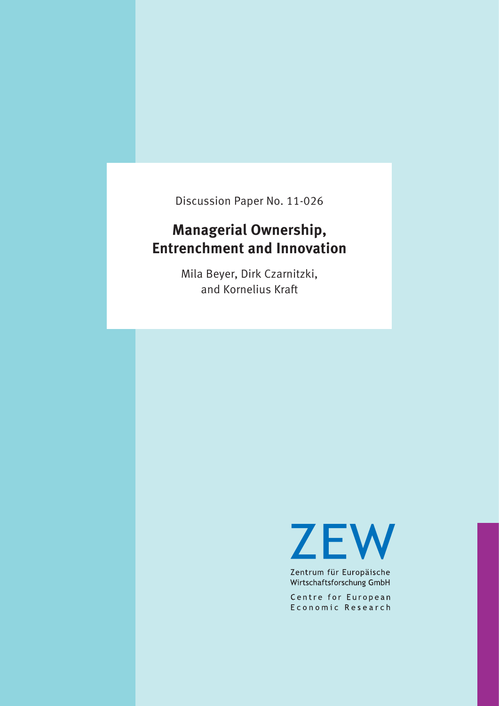Discussion Paper No. 11-026

# **Managerial Ownership, Entrenchment and Innovation**

Mila Beyer, Dirk Czarnitzki, and Kornelius Kraft

**ZEW** 

Zentrum für Europäische Wirtschaftsforschung GmbH

Centre for European Economic Research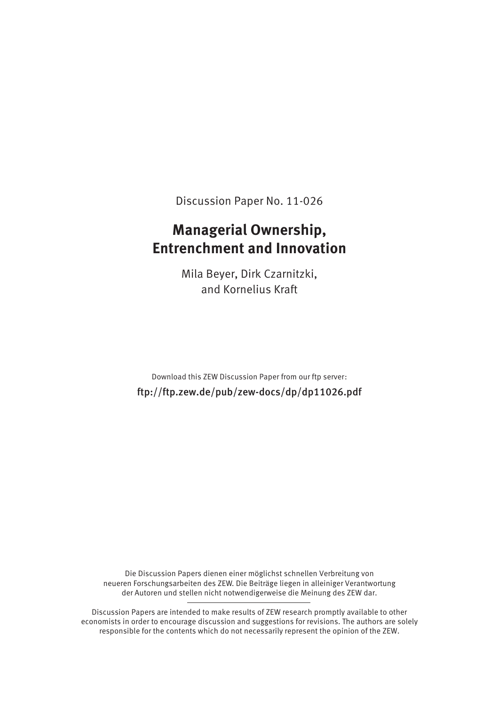Discussion Paper No. 11-026

# **Managerial Ownership, Entrenchment and Innovation**

Mila Beyer, Dirk Czarnitzki, and Kornelius Kraft

Download this ZEW Discussion Paper from our ftp server: ftp://ftp.zew.de/pub/zew-docs/dp/dp11026.pdf

Die Discussion Papers dienen einer möglichst schnellen Verbreitung von neueren Forschungsarbeiten des ZEW. Die Beiträge liegen in alleiniger Verantwortung der Autoren und stellen nicht notwendigerweise die Meinung des ZEW dar.

Discussion Papers are intended to make results of ZEW research promptly available to other economists in order to encourage discussion and suggestions for revisions. The authors are solely responsible for the contents which do not necessarily represent the opinion of the ZEW.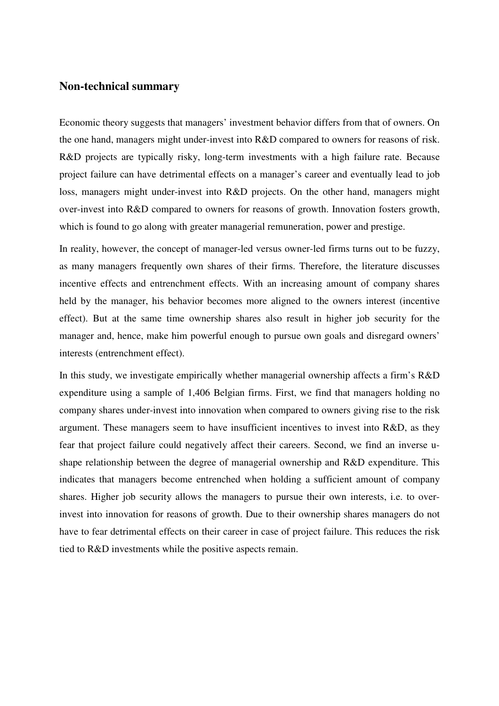### **Non-technical summary**

Economic theory suggests that managers' investment behavior differs from that of owners. On the one hand, managers might under-invest into R&D compared to owners for reasons of risk. R&D projects are typically risky, long-term investments with a high failure rate. Because project failure can have detrimental effects on a manager's career and eventually lead to job loss, managers might under-invest into R&D projects. On the other hand, managers might over-invest into R&D compared to owners for reasons of growth. Innovation fosters growth, which is found to go along with greater managerial remuneration, power and prestige.

In reality, however, the concept of manager-led versus owner-led firms turns out to be fuzzy, as many managers frequently own shares of their firms. Therefore, the literature discusses incentive effects and entrenchment effects. With an increasing amount of company shares held by the manager, his behavior becomes more aligned to the owners interest (incentive effect). But at the same time ownership shares also result in higher job security for the manager and, hence, make him powerful enough to pursue own goals and disregard owners' interests (entrenchment effect).

In this study, we investigate empirically whether managerial ownership affects a firm's R&D expenditure using a sample of 1,406 Belgian firms. First, we find that managers holding no company shares under-invest into innovation when compared to owners giving rise to the risk argument. These managers seem to have insufficient incentives to invest into R&D, as they fear that project failure could negatively affect their careers. Second, we find an inverse ushape relationship between the degree of managerial ownership and R&D expenditure. This indicates that managers become entrenched when holding a sufficient amount of company shares. Higher job security allows the managers to pursue their own interests, i.e. to overinvest into innovation for reasons of growth. Due to their ownership shares managers do not have to fear detrimental effects on their career in case of project failure. This reduces the risk tied to R&D investments while the positive aspects remain.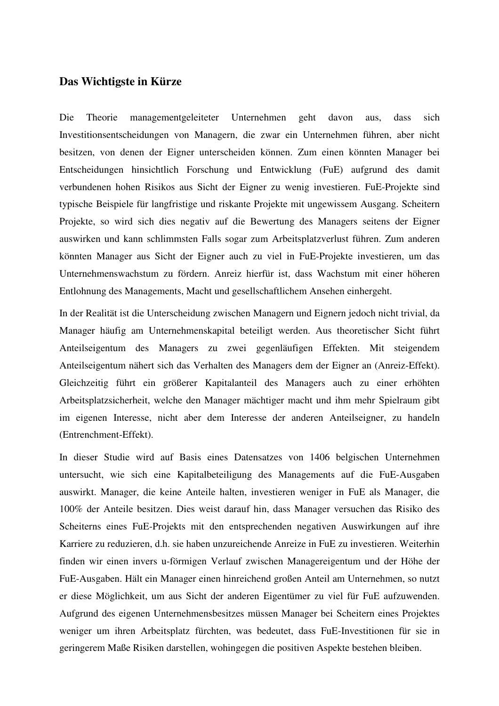## **Das Wichtigste in Kürze**

Die Theorie managementgeleiteter Unternehmen geht davon aus, dass sich Investitionsentscheidungen von Managern, die zwar ein Unternehmen führen, aber nicht besitzen, von denen der Eigner unterscheiden können. Zum einen könnten Manager bei Entscheidungen hinsichtlich Forschung und Entwicklung (FuE) aufgrund des damit verbundenen hohen Risikos aus Sicht der Eigner zu wenig investieren. FuE-Projekte sind typische Beispiele für langfristige und riskante Projekte mit ungewissem Ausgang. Scheitern Projekte, so wird sich dies negativ auf die Bewertung des Managers seitens der Eigner auswirken und kann schlimmsten Falls sogar zum Arbeitsplatzverlust führen. Zum anderen könnten Manager aus Sicht der Eigner auch zu viel in FuE-Projekte investieren, um das Unternehmenswachstum zu fördern. Anreiz hierfür ist, dass Wachstum mit einer höheren Entlohnung des Managements, Macht und gesellschaftlichem Ansehen einhergeht.

In der Realität ist die Unterscheidung zwischen Managern und Eignern jedoch nicht trivial, da Manager häufig am Unternehmenskapital beteiligt werden. Aus theoretischer Sicht führt Anteilseigentum des Managers zu zwei gegenläufigen Effekten. Mit steigendem Anteilseigentum nähert sich das Verhalten des Managers dem der Eigner an (Anreiz-Effekt). Gleichzeitig führt ein größerer Kapitalanteil des Managers auch zu einer erhöhten Arbeitsplatzsicherheit, welche den Manager mächtiger macht und ihm mehr Spielraum gibt im eigenen Interesse, nicht aber dem Interesse der anderen Anteilseigner, zu handeln (Entrenchment-Effekt).

In dieser Studie wird auf Basis eines Datensatzes von 1406 belgischen Unternehmen untersucht, wie sich eine Kapitalbeteiligung des Managements auf die FuE-Ausgaben auswirkt. Manager, die keine Anteile halten, investieren weniger in FuE als Manager, die 100% der Anteile besitzen. Dies weist darauf hin, dass Manager versuchen das Risiko des Scheiterns eines FuE-Projekts mit den entsprechenden negativen Auswirkungen auf ihre Karriere zu reduzieren, d.h. sie haben unzureichende Anreize in FuE zu investieren. Weiterhin finden wir einen invers u-förmigen Verlauf zwischen Managereigentum und der Höhe der FuE-Ausgaben. Hält ein Manager einen hinreichend großen Anteil am Unternehmen, so nutzt er diese Möglichkeit, um aus Sicht der anderen Eigentümer zu viel für FuE aufzuwenden. Aufgrund des eigenen Unternehmensbesitzes müssen Manager bei Scheitern eines Projektes weniger um ihren Arbeitsplatz fürchten, was bedeutet, dass FuE-Investitionen für sie in geringerem Maße Risiken darstellen, wohingegen die positiven Aspekte bestehen bleiben.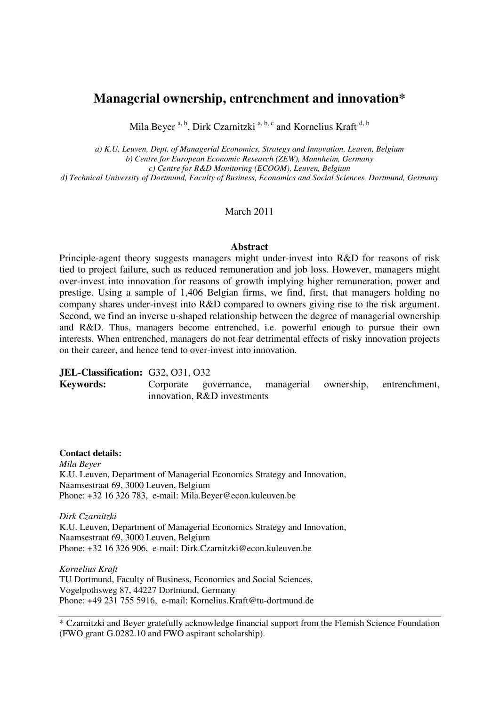# **Managerial ownership, entrenchment and innovation\***

Mila Beyer<sup>a, b</sup>, Dirk Czarnitzki<sup>a, b, c</sup> and Kornelius Kraft<sup>d, b</sup>

*a) K.U. Leuven, Dept. of Managerial Economics, Strategy and Innovation, Leuven, Belgium b) Centre for European Economic Research (ZEW), Mannheim, Germany c) Centre for R&D Monitoring (ECOOM), Leuven, Belgium d) Technical University of Dortmund, Faculty of Business, Economics and Social Sciences, Dortmund, Germany* 

#### March 2011

#### **Abstract**

Principle-agent theory suggests managers might under-invest into R&D for reasons of risk tied to project failure, such as reduced remuneration and job loss. However, managers might over-invest into innovation for reasons of growth implying higher remuneration, power and prestige. Using a sample of 1,406 Belgian firms, we find, first, that managers holding no company shares under-invest into R&D compared to owners giving rise to the risk argument. Second, we find an inverse u-shaped relationship between the degree of managerial ownership and R&D. Thus, managers become entrenched, i.e. powerful enough to pursue their own interests. When entrenched, managers do not fear detrimental effects of risky innovation projects on their career, and hence tend to over-invest into innovation.

**JEL-Classification:** G32, O31, O32 **Keywords:** Corporate governance, managerial ownership, entrenchment, innovation, R&D investments

**Contact details:**  *Mila Beyer* K.U. Leuven, Department of Managerial Economics Strategy and Innovation, Naamsestraat 69, 3000 Leuven, Belgium Phone: +32 16 326 783, e-mail: Mila.Beyer@econ.kuleuven.be

*Dirk Czarnitzki* K.U. Leuven, Department of Managerial Economics Strategy and Innovation, Naamsestraat 69, 3000 Leuven, Belgium Phone: +32 16 326 906, e-mail: Dirk.Czarnitzki@econ.kuleuven.be

*Kornelius Kraft* TU Dortmund, Faculty of Business, Economics and Social Sciences, Vogelpothsweg 87, 44227 Dortmund, Germany Phone: +49 231 755 5916, e-mail: Kornelius.Kraft@tu-dortmund.de

\* Czarnitzki and Beyer gratefully acknowledge financial support from the Flemish Science Foundation (FWO grant G.0282.10 and FWO aspirant scholarship).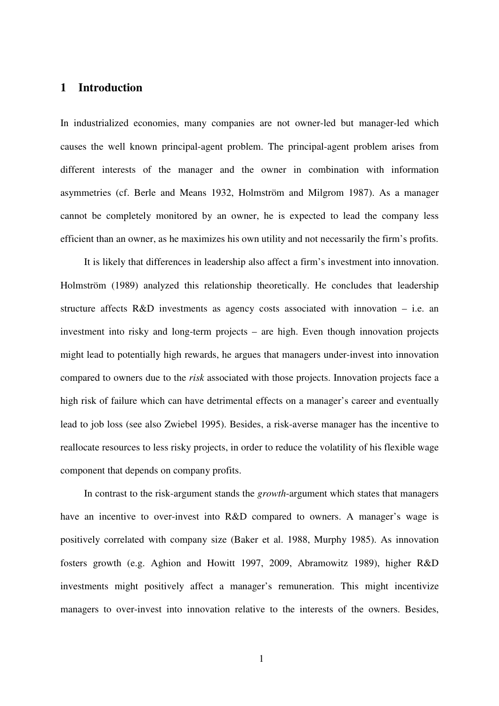### **1 Introduction**

In industrialized economies, many companies are not owner-led but manager-led which causes the well known principal-agent problem. The principal-agent problem arises from different interests of the manager and the owner in combination with information asymmetries (cf. Berle and Means 1932, Holmström and Milgrom 1987). As a manager cannot be completely monitored by an owner, he is expected to lead the company less efficient than an owner, as he maximizes his own utility and not necessarily the firm's profits.

It is likely that differences in leadership also affect a firm's investment into innovation. Holmström (1989) analyzed this relationship theoretically. He concludes that leadership structure affects R&D investments as agency costs associated with innovation – i.e. an investment into risky and long-term projects – are high. Even though innovation projects might lead to potentially high rewards, he argues that managers under-invest into innovation compared to owners due to the *risk* associated with those projects. Innovation projects face a high risk of failure which can have detrimental effects on a manager's career and eventually lead to job loss (see also Zwiebel 1995). Besides, a risk-averse manager has the incentive to reallocate resources to less risky projects, in order to reduce the volatility of his flexible wage component that depends on company profits.

In contrast to the risk-argument stands the *growth*-argument which states that managers have an incentive to over-invest into R&D compared to owners. A manager's wage is positively correlated with company size (Baker et al. 1988, Murphy 1985). As innovation fosters growth (e.g. Aghion and Howitt 1997, 2009, Abramowitz 1989), higher R&D investments might positively affect a manager's remuneration. This might incentivize managers to over-invest into innovation relative to the interests of the owners. Besides,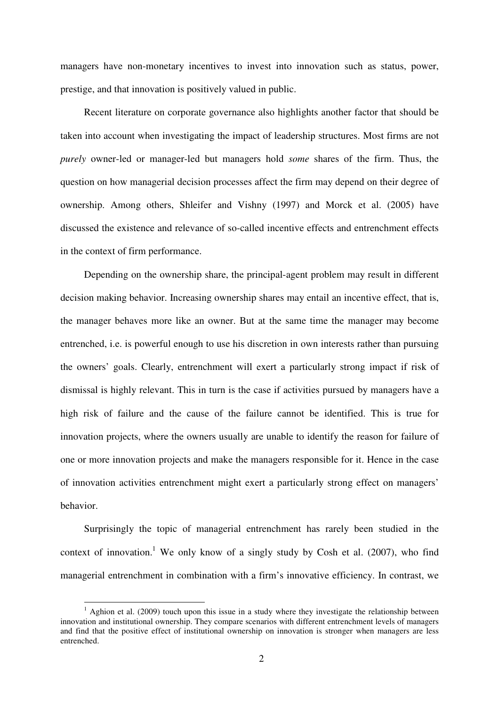managers have non-monetary incentives to invest into innovation such as status, power, prestige, and that innovation is positively valued in public.

Recent literature on corporate governance also highlights another factor that should be taken into account when investigating the impact of leadership structures. Most firms are not *purely* owner-led or manager-led but managers hold *some* shares of the firm. Thus, the question on how managerial decision processes affect the firm may depend on their degree of ownership. Among others, Shleifer and Vishny (1997) and Morck et al. (2005) have discussed the existence and relevance of so-called incentive effects and entrenchment effects in the context of firm performance.

Depending on the ownership share, the principal-agent problem may result in different decision making behavior. Increasing ownership shares may entail an incentive effect, that is, the manager behaves more like an owner. But at the same time the manager may become entrenched, i.e. is powerful enough to use his discretion in own interests rather than pursuing the owners' goals. Clearly, entrenchment will exert a particularly strong impact if risk of dismissal is highly relevant. This in turn is the case if activities pursued by managers have a high risk of failure and the cause of the failure cannot be identified. This is true for innovation projects, where the owners usually are unable to identify the reason for failure of one or more innovation projects and make the managers responsible for it. Hence in the case of innovation activities entrenchment might exert a particularly strong effect on managers' behavior.

Surprisingly the topic of managerial entrenchment has rarely been studied in the context of innovation.<sup>1</sup> We only know of a singly study by Cosh et al.  $(2007)$ , who find managerial entrenchment in combination with a firm's innovative efficiency. In contrast, we

 $\overline{a}$ 

<sup>1</sup> Aghion et al. (2009) touch upon this issue in a study where they investigate the relationship between innovation and institutional ownership. They compare scenarios with different entrenchment levels of managers and find that the positive effect of institutional ownership on innovation is stronger when managers are less entrenched.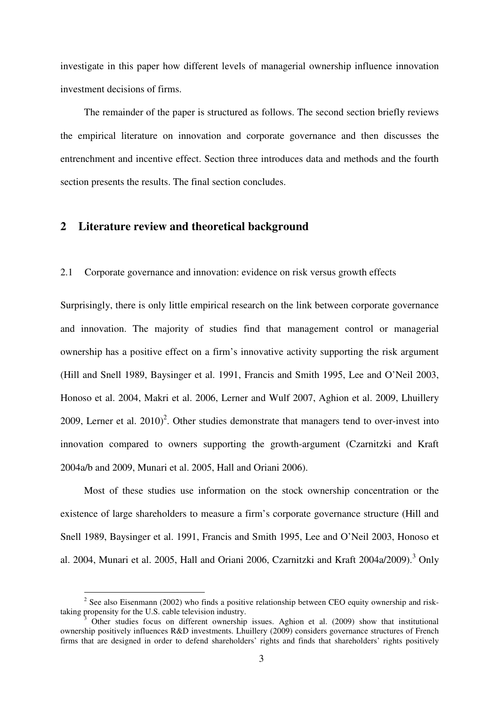investigate in this paper how different levels of managerial ownership influence innovation investment decisions of firms.

The remainder of the paper is structured as follows. The second section briefly reviews the empirical literature on innovation and corporate governance and then discusses the entrenchment and incentive effect. Section three introduces data and methods and the fourth section presents the results. The final section concludes.

## **2 Literature review and theoretical background**

#### 2.1 Corporate governance and innovation: evidence on risk versus growth effects

Surprisingly, there is only little empirical research on the link between corporate governance and innovation. The majority of studies find that management control or managerial ownership has a positive effect on a firm's innovative activity supporting the risk argument (Hill and Snell 1989, Baysinger et al. 1991, Francis and Smith 1995, Lee and O'Neil 2003, Honoso et al. 2004, Makri et al. 2006, Lerner and Wulf 2007, Aghion et al. 2009, Lhuillery 2009, Lerner et al.  $2010$ <sup>2</sup>. Other studies demonstrate that managers tend to over-invest into innovation compared to owners supporting the growth-argument (Czarnitzki and Kraft 2004a/b and 2009, Munari et al. 2005, Hall and Oriani 2006).

Most of these studies use information on the stock ownership concentration or the existence of large shareholders to measure a firm's corporate governance structure (Hill and Snell 1989, Baysinger et al. 1991, Francis and Smith 1995, Lee and O'Neil 2003, Honoso et al. 2004, Munari et al. 2005, Hall and Oriani 2006, Czarnitzki and Kraft 2004a/2009).<sup>3</sup> Only

 $\overline{a}$ 

 $2^2$  See also Eisenmann (2002) who finds a positive relationship between CEO equity ownership and risktaking propensity for the U.S. cable television industry.

<sup>3</sup> Other studies focus on different ownership issues. Aghion et al. (2009) show that institutional ownership positively influences R&D investments. Lhuillery (2009) considers governance structures of French firms that are designed in order to defend shareholders' rights and finds that shareholders' rights positively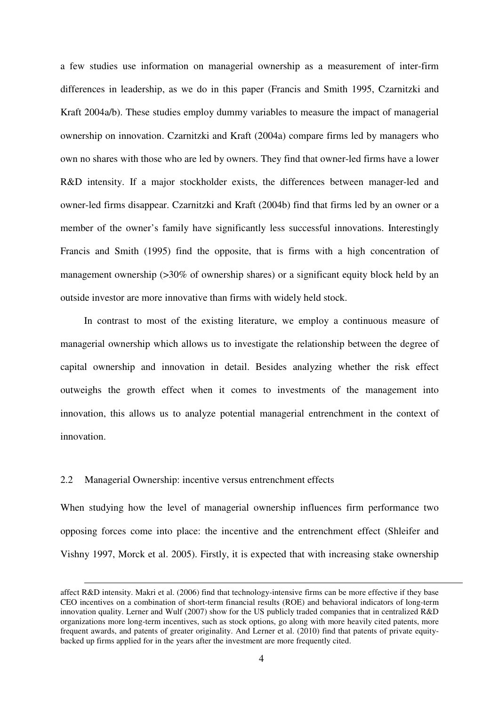a few studies use information on managerial ownership as a measurement of inter-firm differences in leadership, as we do in this paper (Francis and Smith 1995, Czarnitzki and Kraft 2004a/b). These studies employ dummy variables to measure the impact of managerial ownership on innovation. Czarnitzki and Kraft (2004a) compare firms led by managers who own no shares with those who are led by owners. They find that owner-led firms have a lower R&D intensity. If a major stockholder exists, the differences between manager-led and owner-led firms disappear. Czarnitzki and Kraft (2004b) find that firms led by an owner or a member of the owner's family have significantly less successful innovations. Interestingly Francis and Smith (1995) find the opposite, that is firms with a high concentration of management ownership (>30% of ownership shares) or a significant equity block held by an outside investor are more innovative than firms with widely held stock.

In contrast to most of the existing literature, we employ a continuous measure of managerial ownership which allows us to investigate the relationship between the degree of capital ownership and innovation in detail. Besides analyzing whether the risk effect outweighs the growth effect when it comes to investments of the management into innovation, this allows us to analyze potential managerial entrenchment in the context of innovation.

#### 2.2 Managerial Ownership: incentive versus entrenchment effects

 $\overline{a}$ 

When studying how the level of managerial ownership influences firm performance two opposing forces come into place: the incentive and the entrenchment effect (Shleifer and Vishny 1997, Morck et al. 2005). Firstly, it is expected that with increasing stake ownership

affect R&D intensity. Makri et al. (2006) find that technology-intensive firms can be more effective if they base CEO incentives on a combination of short-term financial results (ROE) and behavioral indicators of long-term innovation quality. Lerner and Wulf (2007) show for the US publicly traded companies that in centralized R&D organizations more long-term incentives, such as stock options, go along with more heavily cited patents, more frequent awards, and patents of greater originality. And Lerner et al. (2010) find that patents of private equitybacked up firms applied for in the years after the investment are more frequently cited.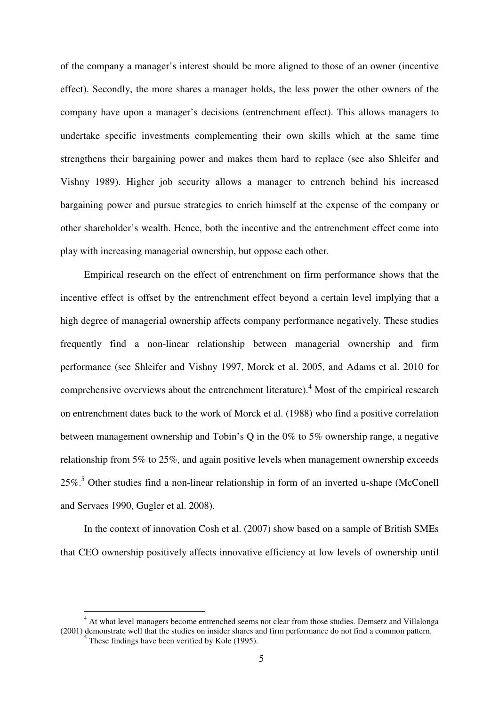of the company a manager's interest should be more aligned to those of an owner (incentive effect). Secondly, the more shares a manager holds, the less power the other owners of the company have upon a manager's decisions (entrenchment effect). This allows managers to undertake specific investments complementing their own skills which at the same time strengthens their bargaining power and makes them hard to replace (see also Shleifer and Vishny 1989). Higher job security allows a manager to entrench behind his increased bargaining power and pursue strategies to enrich himself at the expense of the company or other shareholder's wealth. Hence, both the incentive and the entrenchment effect come into play with increasing managerial ownership, but oppose each other.

Empirical research on the effect of entrenchment on firm performance shows that the incentive effect is offset by the entrenchment effect beyond a certain level implying that a high degree of managerial ownership affects company performance negatively. These studies frequently find a non-linear relationship between managerial ownership and firm performance (see Shleifer and Vishny 1997, Morck et al. 2005, and Adams et al. 2010 for comprehensive overviews about the entrenchment literature).<sup>4</sup> Most of the empirical research on entrenchment dates back to the work of Morck et al. (1988) who find a positive correlation between management ownership and Tobin's Q in the 0% to 5% ownership range, a negative relationship from 5% to 25%, and again positive levels when management ownership exceeds 25%.<sup>5</sup> Other studies find a non-linear relationship in form of an inverted u-shape (McConell and Servaes 1990, Gugler et al. 2008).

In the context of innovation Cosh et al. (2007) show based on a sample of British SMEs that CEO ownership positively affects innovative efficiency at low levels of ownership until

 4 At what level managers become entrenched seems not clear from those studies. Demsetz and Villalonga (2001) demonstrate well that the studies on insider shares and firm performance do not find a common pattern.  $<sup>5</sup>$  These findings have been verified by Kole (1995).</sup>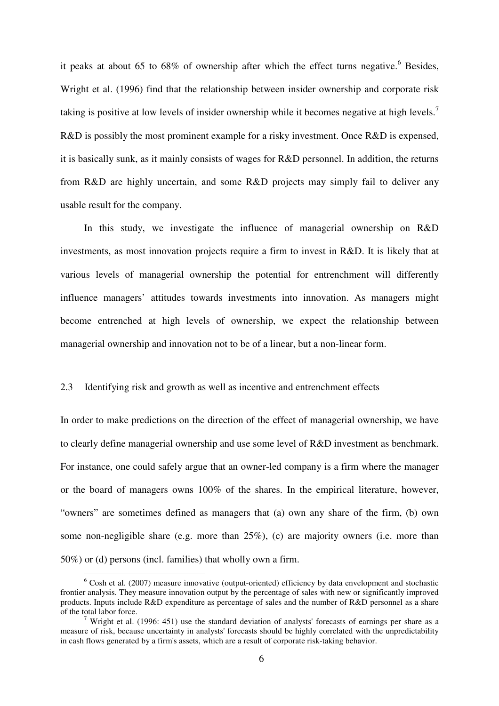it peaks at about 65 to 68% of ownership after which the effect turns negative. <sup>6</sup> Besides, Wright et al. (1996) find that the relationship between insider ownership and corporate risk taking is positive at low levels of insider ownership while it becomes negative at high levels.<sup>7</sup> R&D is possibly the most prominent example for a risky investment. Once R&D is expensed, it is basically sunk, as it mainly consists of wages for R&D personnel. In addition, the returns from R&D are highly uncertain, and some R&D projects may simply fail to deliver any usable result for the company.

In this study, we investigate the influence of managerial ownership on R&D investments, as most innovation projects require a firm to invest in R&D. It is likely that at various levels of managerial ownership the potential for entrenchment will differently influence managers' attitudes towards investments into innovation. As managers might become entrenched at high levels of ownership, we expect the relationship between managerial ownership and innovation not to be of a linear, but a non-linear form.

#### 2.3 Identifying risk and growth as well as incentive and entrenchment effects

In order to make predictions on the direction of the effect of managerial ownership, we have to clearly define managerial ownership and use some level of R&D investment as benchmark. For instance, one could safely argue that an owner-led company is a firm where the manager or the board of managers owns 100% of the shares. In the empirical literature, however, "owners" are sometimes defined as managers that (a) own any share of the firm, (b) own some non-negligible share (e.g. more than 25%), (c) are majority owners (i.e. more than 50%) or (d) persons (incl. families) that wholly own a firm.

 6 Cosh et al. (2007) measure innovative (output-oriented) efficiency by data envelopment and stochastic frontier analysis. They measure innovation output by the percentage of sales with new or significantly improved products. Inputs include R&D expenditure as percentage of sales and the number of R&D personnel as a share of the total labor force.

<sup>&</sup>lt;sup>7</sup> Wright et al. (1996: 451) use the standard deviation of analysts' forecasts of earnings per share as a measure of risk, because uncertainty in analysts' forecasts should be highly correlated with the unpredictability in cash flows generated by a firm's assets, which are a result of corporate risk-taking behavior.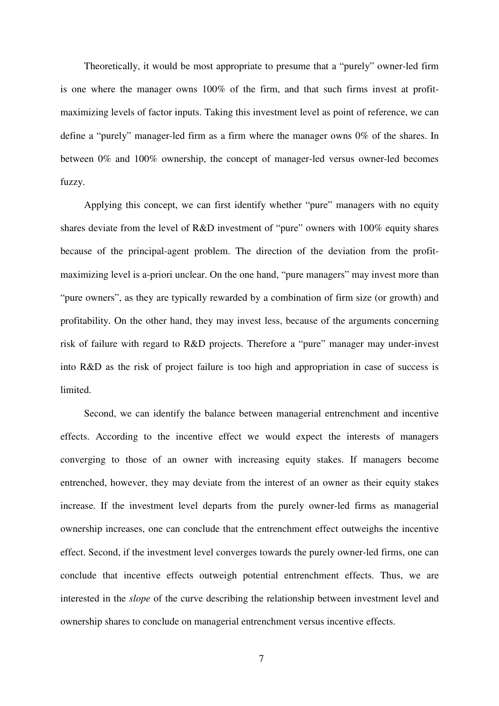Theoretically, it would be most appropriate to presume that a "purely" owner-led firm is one where the manager owns 100% of the firm, and that such firms invest at profitmaximizing levels of factor inputs. Taking this investment level as point of reference, we can define a "purely" manager-led firm as a firm where the manager owns 0% of the shares. In between 0% and 100% ownership, the concept of manager-led versus owner-led becomes fuzzy.

Applying this concept, we can first identify whether "pure" managers with no equity shares deviate from the level of R&D investment of "pure" owners with 100% equity shares because of the principal-agent problem. The direction of the deviation from the profitmaximizing level is a-priori unclear. On the one hand, "pure managers" may invest more than "pure owners", as they are typically rewarded by a combination of firm size (or growth) and profitability. On the other hand, they may invest less, because of the arguments concerning risk of failure with regard to R&D projects. Therefore a "pure" manager may under-invest into R&D as the risk of project failure is too high and appropriation in case of success is limited.

Second, we can identify the balance between managerial entrenchment and incentive effects. According to the incentive effect we would expect the interests of managers converging to those of an owner with increasing equity stakes. If managers become entrenched, however, they may deviate from the interest of an owner as their equity stakes increase. If the investment level departs from the purely owner-led firms as managerial ownership increases, one can conclude that the entrenchment effect outweighs the incentive effect. Second, if the investment level converges towards the purely owner-led firms, one can conclude that incentive effects outweigh potential entrenchment effects. Thus, we are interested in the *slope* of the curve describing the relationship between investment level and ownership shares to conclude on managerial entrenchment versus incentive effects.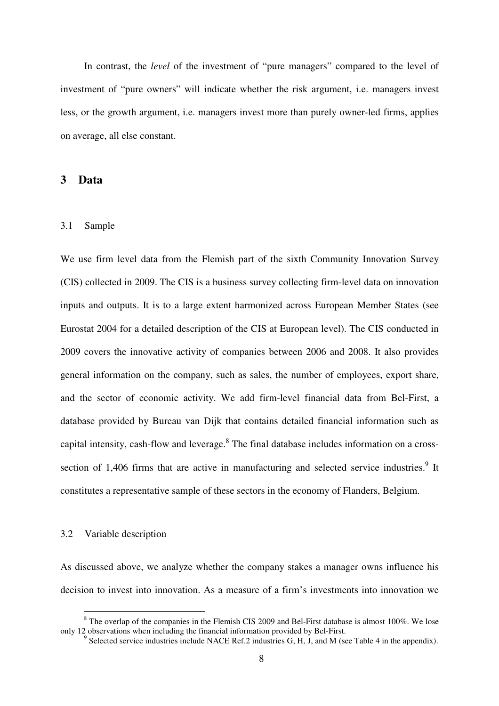In contrast, the *level* of the investment of "pure managers" compared to the level of investment of "pure owners" will indicate whether the risk argument, i.e. managers invest less, or the growth argument, i.e. managers invest more than purely owner-led firms, applies on average, all else constant.

**3 Data** 

#### 3.1 Sample

We use firm level data from the Flemish part of the sixth Community Innovation Survey (CIS) collected in 2009. The CIS is a business survey collecting firm-level data on innovation inputs and outputs. It is to a large extent harmonized across European Member States (see Eurostat 2004 for a detailed description of the CIS at European level). The CIS conducted in 2009 covers the innovative activity of companies between 2006 and 2008. It also provides general information on the company, such as sales, the number of employees, export share, and the sector of economic activity. We add firm-level financial data from Bel-First, a database provided by Bureau van Dijk that contains detailed financial information such as capital intensity, cash-flow and leverage. <sup>8</sup> The final database includes information on a crosssection of 1,406 firms that are active in manufacturing and selected service industries.<sup>9</sup> It constitutes a representative sample of these sectors in the economy of Flanders, Belgium.

#### 3.2 Variable description

As discussed above, we analyze whether the company stakes a manager owns influence his decision to invest into innovation. As a measure of a firm's investments into innovation we

<sup>&</sup>lt;sup>8</sup> The overlap of the companies in the Flemish CIS 2009 and Bel-First database is almost 100%. We lose only 12 observations when including the financial information provided by Bel-First.

 $9$  Selected service industries include NACE Ref.2 industries G, H, J, and M (see Table 4 in the appendix).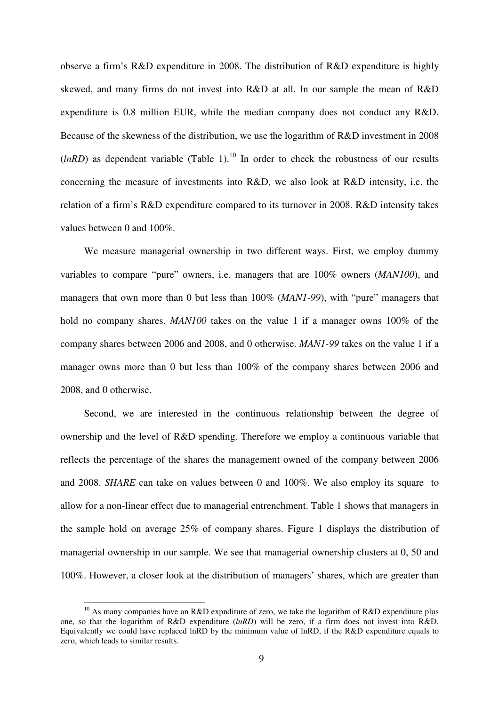observe a firm's R&D expenditure in 2008. The distribution of R&D expenditure is highly skewed, and many firms do not invest into R&D at all. In our sample the mean of R&D expenditure is 0.8 million EUR, while the median company does not conduct any R&D. Because of the skewness of the distribution, we use the logarithm of R&D investment in 2008  $(lnRD)$  as dependent variable  $(Table 1)$ .<sup>10</sup> In order to check the robustness of our results concerning the measure of investments into R&D, we also look at R&D intensity, i.e. the relation of a firm's R&D expenditure compared to its turnover in 2008. R&D intensity takes values between 0 and 100%.

We measure managerial ownership in two different ways. First, we employ dummy variables to compare "pure" owners, i.e. managers that are 100% owners (*MAN100*), and managers that own more than 0 but less than 100% (*MAN1-99*), with "pure" managers that hold no company shares. *MAN100* takes on the value 1 if a manager owns 100% of the company shares between 2006 and 2008, and 0 otherwise. *MAN1-99* takes on the value 1 if a manager owns more than 0 but less than 100% of the company shares between 2006 and 2008, and 0 otherwise.

Second, we are interested in the continuous relationship between the degree of ownership and the level of R&D spending. Therefore we employ a continuous variable that reflects the percentage of the shares the management owned of the company between 2006 and 2008. *SHARE* can take on values between 0 and 100%. We also employ its square to allow for a non-linear effect due to managerial entrenchment. Table 1 shows that managers in the sample hold on average 25% of company shares. Figure 1 displays the distribution of managerial ownership in our sample. We see that managerial ownership clusters at 0, 50 and 100%. However, a closer look at the distribution of managers' shares, which are greater than

 $\overline{a}$ 

<sup>&</sup>lt;sup>10</sup> As many companies have an R&D expnditure of zero, we take the logarithm of R&D expenditure plus one, so that the logarithm of R&D expenditure (*lnRD*) will be zero, if a firm does not invest into R&D. Equivalently we could have replaced lnRD by the minimum value of lnRD, if the R&D expenditure equals to zero, which leads to similar results.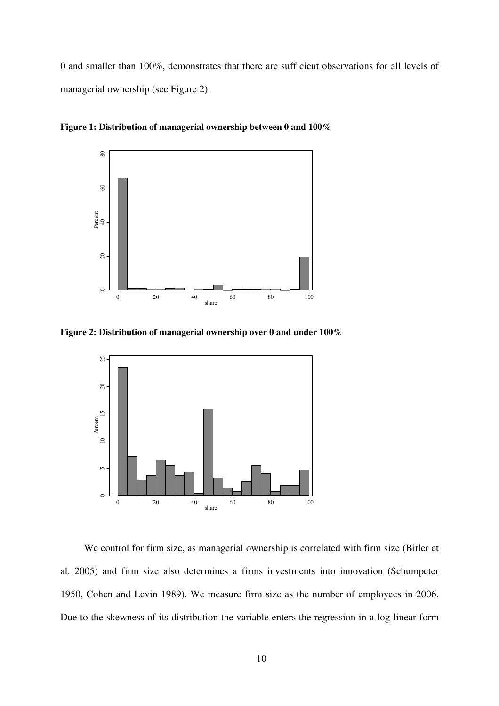0 and smaller than 100%, demonstrates that there are sufficient observations for all levels of managerial ownership (see Figure 2).



**Figure 1: Distribution of managerial ownership between 0 and 100%** 

**Figure 2: Distribution of managerial ownership over 0 and under 100%** 



We control for firm size, as managerial ownership is correlated with firm size (Bitler et al. 2005) and firm size also determines a firms investments into innovation (Schumpeter 1950, Cohen and Levin 1989). We measure firm size as the number of employees in 2006. Due to the skewness of its distribution the variable enters the regression in a log-linear form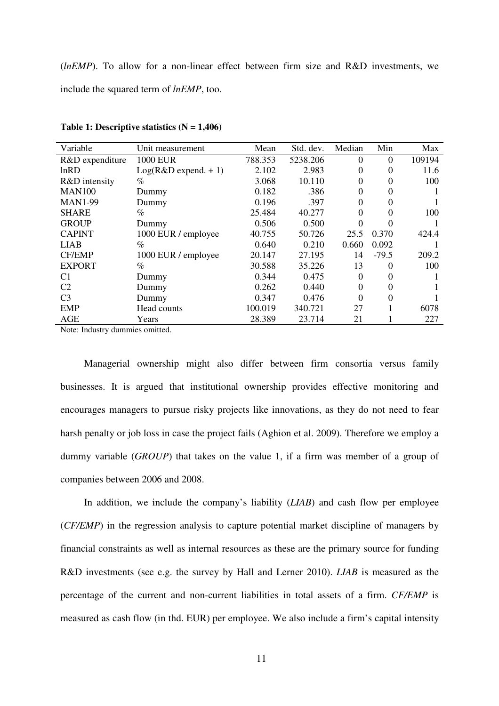(*lnEMP*). To allow for a non-linear effect between firm size and R&D investments, we include the squared term of *lnEMP*, too.

| Variable        | Unit measurement       | Mean    | Std. dev. | Median   | Min      | Max    |
|-----------------|------------------------|---------|-----------|----------|----------|--------|
| R&D expenditure | <b>1000 EUR</b>        | 788.353 | 5238.206  | 0        | $\Omega$ | 109194 |
| lnRD            | $Log(R&D$ expend. + 1) | 2.102   | 2.983     | $\Omega$ | 0        | 11.6   |
| R&D intensity   | $\%$                   | 3.068   | 10.110    | $\Omega$ | 0        | 100    |
| <b>MAN100</b>   | Dummy                  | 0.182   | .386      | $\Omega$ | 0        |        |
| <b>MAN1-99</b>  | Dummy                  | 0.196   | .397      | $\Omega$ | $\theta$ |        |
| <b>SHARE</b>    | $\%$                   | 25.484  | 40.277    | $\Omega$ | 0        | 100    |
| <b>GROUP</b>    | Dummy                  | 0.506   | 0.500     |          |          |        |
| <b>CAPINT</b>   | 1000 EUR / employee    | 40.755  | 50.726    | 25.5     | 0.370    | 424.4  |
| <b>LIAB</b>     | $\%$                   | 0.640   | 0.210     | 0.660    | 0.092    |        |
| <b>CF/EMP</b>   | 1000 EUR / employee    | 20.147  | 27.195    | 14       | $-79.5$  | 209.2  |
| <b>EXPORT</b>   | $\%$                   | 30.588  | 35.226    | 13       | 0        | 100    |
| C <sub>1</sub>  | Dummy                  | 0.344   | 0.475     | $\Omega$ | 0        |        |
| C <sub>2</sub>  | Dummy                  | 0.262   | 0.440     | $\Omega$ | 0        |        |
| C <sub>3</sub>  | Dummy                  | 0.347   | 0.476     | $\Omega$ | 0        |        |
| <b>EMP</b>      | Head counts            | 100.019 | 340.721   | 27       |          | 6078   |
| AGE             | Years                  | 28.389  | 23.714    | 21       |          | 227    |

**Table 1: Descriptive statistics (N = 1,406)** 

Note: Industry dummies omitted.

Managerial ownership might also differ between firm consortia versus family businesses. It is argued that institutional ownership provides effective monitoring and encourages managers to pursue risky projects like innovations, as they do not need to fear harsh penalty or job loss in case the project fails (Aghion et al. 2009). Therefore we employ a dummy variable (*GROUP*) that takes on the value 1, if a firm was member of a group of companies between 2006 and 2008.

In addition, we include the company's liability (*LIAB*) and cash flow per employee (*CF/EMP*) in the regression analysis to capture potential market discipline of managers by financial constraints as well as internal resources as these are the primary source for funding R&D investments (see e.g. the survey by Hall and Lerner 2010). *LIAB* is measured as the percentage of the current and non-current liabilities in total assets of a firm. *CF/EMP* is measured as cash flow (in thd. EUR) per employee. We also include a firm's capital intensity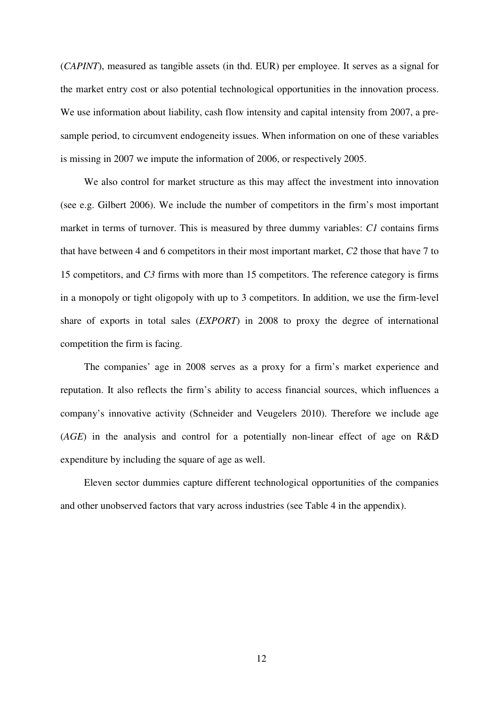(*CAPINT*), measured as tangible assets (in thd. EUR) per employee. It serves as a signal for the market entry cost or also potential technological opportunities in the innovation process. We use information about liability, cash flow intensity and capital intensity from 2007, a presample period, to circumvent endogeneity issues. When information on one of these variables is missing in 2007 we impute the information of 2006, or respectively 2005.

We also control for market structure as this may affect the investment into innovation (see e.g. Gilbert 2006). We include the number of competitors in the firm's most important market in terms of turnover. This is measured by three dummy variables: *C1* contains firms that have between 4 and 6 competitors in their most important market, *C2* those that have 7 to 15 competitors, and *C3* firms with more than 15 competitors. The reference category is firms in a monopoly or tight oligopoly with up to 3 competitors. In addition, we use the firm-level share of exports in total sales (*EXPORT*) in 2008 to proxy the degree of international competition the firm is facing.

The companies' age in 2008 serves as a proxy for a firm's market experience and reputation. It also reflects the firm's ability to access financial sources, which influences a company's innovative activity (Schneider and Veugelers 2010). Therefore we include age (*AGE*) in the analysis and control for a potentially non-linear effect of age on R&D expenditure by including the square of age as well.

Eleven sector dummies capture different technological opportunities of the companies and other unobserved factors that vary across industries (see Table 4 in the appendix).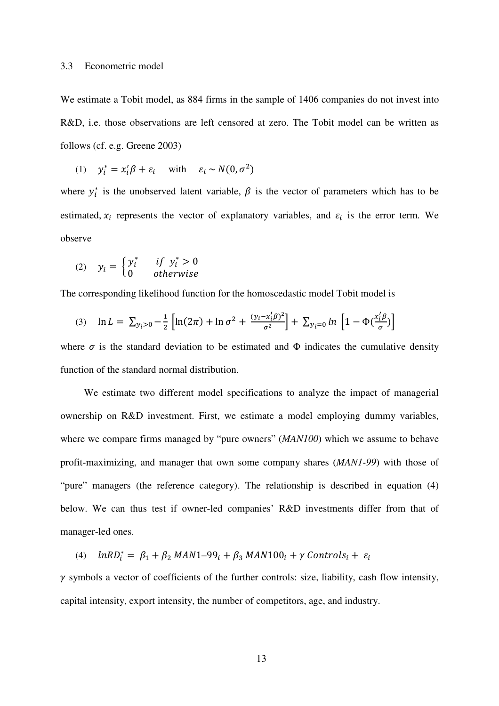#### 3.3 Econometric model

We estimate a Tobit model, as 884 firms in the sample of 1406 companies do not invest into R&D, i.e. those observations are left censored at zero. The Tobit model can be written as follows (cf. e.g. Greene 2003)

(1) 
$$
y_i^* = x_i'\beta + \varepsilon_i
$$
 with  $\varepsilon_i \sim N(0, \sigma^2)$ 

where  $y_i^*$  is the unobserved latent variable,  $\beta$  is the vector of parameters which has to be estimated,  $x_i$  represents the vector of explanatory variables, and  $\varepsilon_i$  is the error term. We observe

$$
(2) \quad y_i = \begin{cases} y_i^* & \text{if } y_i^* > 0 \\ 0 & \text{otherwise} \end{cases}
$$

The corresponding likelihood function for the homoscedastic model Tobit model is

(3) 
$$
\ln L = \sum_{y_i > 0} -\frac{1}{2} \left[ \ln(2\pi) + \ln \sigma^2 + \frac{(y_i - x_i'\beta)^2}{\sigma^2} \right] + \sum_{y_i = 0} \ln \left[ 1 - \Phi(\frac{x_i'\beta}{\sigma}) \right]
$$

where  $\sigma$  is the standard deviation to be estimated and  $\Phi$  indicates the cumulative density function of the standard normal distribution.

We estimate two different model specifications to analyze the impact of managerial ownership on R&D investment. First, we estimate a model employing dummy variables, where we compare firms managed by "pure owners" (*MAN100*) which we assume to behave profit-maximizing, and manager that own some company shares (*MAN1-99*) with those of "pure" managers (the reference category). The relationship is described in equation (4) below. We can thus test if owner-led companies' R&D investments differ from that of manager-led ones.

# (4)  $lnRD_i^* = \beta_1 + \beta_2 MAN1-99_i + \beta_3 MAN100_i + \gamma$  Controls<sub>i</sub> +  $\varepsilon_i$

 $\gamma$  symbols a vector of coefficients of the further controls: size, liability, cash flow intensity, capital intensity, export intensity, the number of competitors, age, and industry.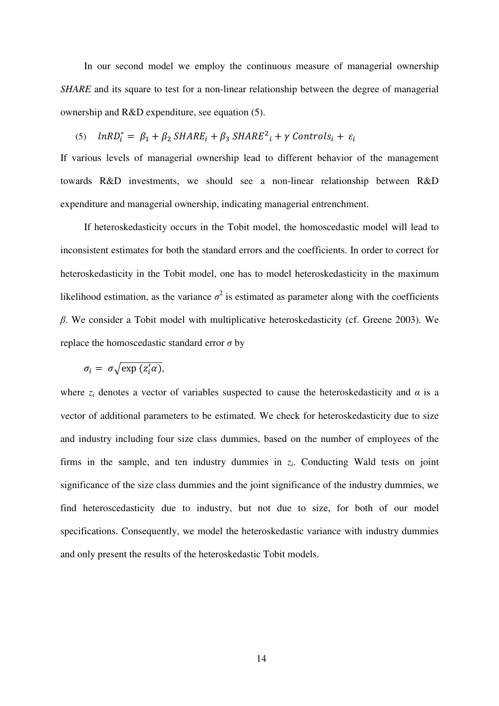In our second model we employ the continuous measure of managerial ownership *SHARE* and its square to test for a non-linear relationship between the degree of managerial ownership and R&D expenditure, see equation (5).

(5)  $ln R D_i^* = \beta_1 + \beta_2 \, SHARE_i + \beta_3 \, SHARE_i^2 + \gamma \, Controls_i + \varepsilon_i$ 

If various levels of managerial ownership lead to different behavior of the management towards R&D investments, we should see a non-linear relationship between R&D expenditure and managerial ownership, indicating managerial entrenchment.

If heteroskedasticity occurs in the Tobit model, the homoscedastic model will lead to inconsistent estimates for both the standard errors and the coefficients. In order to correct for heteroskedasticity in the Tobit model, one has to model heteroskedasticity in the maximum likelihood estimation, as the variance  $\sigma^2$  is estimated as parameter along with the coefficients  $β$ . We consider a Tobit model with multiplicative heteroskedasticity (cf. Greene 2003). We replace the homoscedastic standard error  $\sigma$  by

$$
\sigma_i = \sigma \sqrt{\exp{(z'_i \alpha)}},
$$

where  $z_i$  denotes a vector of variables suspected to cause the heteroskedasticity and  $\alpha$  is a vector of additional parameters to be estimated. We check for heteroskedasticity due to size and industry including four size class dummies, based on the number of employees of the firms in the sample, and ten industry dummies in  $z_i$ . Conducting Wald tests on joint significance of the size class dummies and the joint significance of the industry dummies, we find heteroscedasticity due to industry, but not due to size, for both of our model specifications. Consequently, we model the heteroskedastic variance with industry dummies and only present the results of the heteroskedastic Tobit models.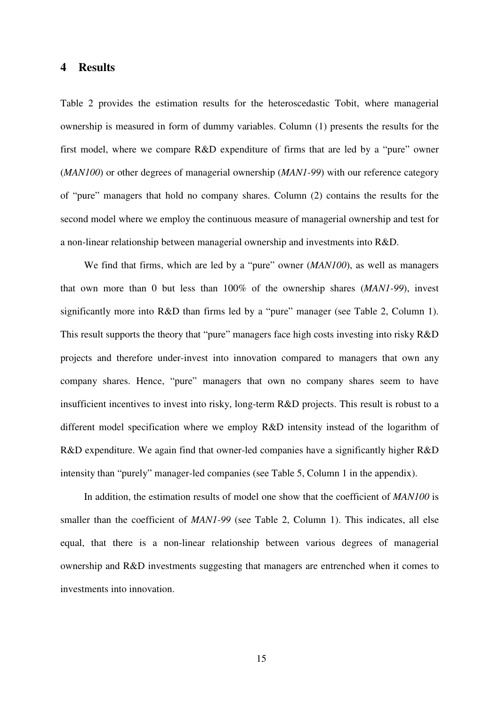### **4 Results**

Table 2 provides the estimation results for the heteroscedastic Tobit, where managerial ownership is measured in form of dummy variables. Column (1) presents the results for the first model, where we compare R&D expenditure of firms that are led by a "pure" owner (*MAN100*) or other degrees of managerial ownership (*MAN1-99*) with our reference category of "pure" managers that hold no company shares. Column (2) contains the results for the second model where we employ the continuous measure of managerial ownership and test for a non-linear relationship between managerial ownership and investments into R&D.

We find that firms, which are led by a "pure" owner (*MAN100*), as well as managers that own more than 0 but less than 100% of the ownership shares (*MAN1-99*), invest significantly more into R&D than firms led by a "pure" manager (see Table 2, Column 1). This result supports the theory that "pure" managers face high costs investing into risky R&D projects and therefore under-invest into innovation compared to managers that own any company shares. Hence, "pure" managers that own no company shares seem to have insufficient incentives to invest into risky, long-term R&D projects. This result is robust to a different model specification where we employ R&D intensity instead of the logarithm of R&D expenditure. We again find that owner-led companies have a significantly higher R&D intensity than "purely" manager-led companies (see Table 5, Column 1 in the appendix).

In addition, the estimation results of model one show that the coefficient of *MAN100* is smaller than the coefficient of *MAN1-99* (see Table 2, Column 1). This indicates, all else equal, that there is a non-linear relationship between various degrees of managerial ownership and R&D investments suggesting that managers are entrenched when it comes to investments into innovation.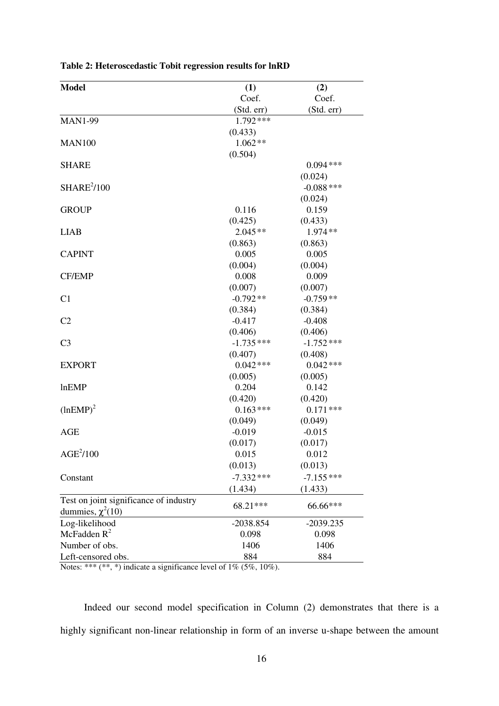| <b>Model</b>                           | (1)         | (2)          |
|----------------------------------------|-------------|--------------|
|                                        | Coef.       | Coef.        |
|                                        | (Std. err)  | (Std. err)   |
| <b>MAN1-99</b>                         | $1.792***$  |              |
|                                        | (0.433)     |              |
| <b>MAN100</b>                          | $1.062**$   |              |
|                                        | (0.504)     |              |
| <b>SHARE</b>                           |             | $0.094***$   |
|                                        |             | (0.024)      |
| <b>SHARE</b> <sup>2</sup> /100         |             | $-0.088$ *** |
|                                        |             | (0.024)      |
| <b>GROUP</b>                           | 0.116       | 0.159        |
|                                        | (0.425)     | (0.433)      |
| <b>LIAB</b>                            | $2.045**$   | 1.974 **     |
|                                        | (0.863)     | (0.863)      |
| <b>CAPINT</b>                          | 0.005       | 0.005        |
|                                        | (0.004)     | (0.004)      |
| <b>CF/EMP</b>                          | 0.008       | 0.009        |
|                                        | (0.007)     | (0.007)      |
| C <sub>1</sub>                         | $-0.792**$  | $-0.759**$   |
|                                        | (0.384)     | (0.384)      |
| C <sub>2</sub>                         | $-0.417$    | $-0.408$     |
|                                        | (0.406)     | (0.406)      |
| C <sub>3</sub>                         | $-1.735***$ | $-1.752$ *** |
|                                        | (0.407)     | (0.408)      |
| <b>EXPORT</b>                          | $0.042***$  | $0.042***$   |
|                                        | (0.005)     | (0.005)      |
| lnEMP                                  | 0.204       | 0.142        |
|                                        | (0.420)     | (0.420)      |
| $(lnEMP)^2$                            | $0.163***$  | $0.171***$   |
|                                        | (0.049)     | (0.049)      |
| <b>AGE</b>                             | $-0.019$    | $-0.015$     |
|                                        | (0.017)     | (0.017)      |
| AGE <sup>2</sup> /100                  | 0.015       | 0.012        |
|                                        | (0.013)     | (0.013)      |
| Constant                               | $-7.332***$ | $-7.155***$  |
|                                        | (1.434)     | (1.433)      |
| Test on joint significance of industry | 68.21***    | 66.66***     |
| dummies, $\chi^2(10)$                  |             |              |
| Log-likelihood                         | $-2038.854$ | $-2039.235$  |
| McFadden $R^2$                         | 0.098       | 0.098        |
| Number of obs.                         | 1406        | 1406         |
| Left-censored obs.                     | 884         | 884          |

**Table 2: Heteroscedastic Tobit regression results for lnRD** 

Notes: \*\*\*  $(**,*)$  indicate a significance level of  $1\%$  (5%, 10%).

Indeed our second model specification in Column (2) demonstrates that there is a highly significant non-linear relationship in form of an inverse u-shape between the amount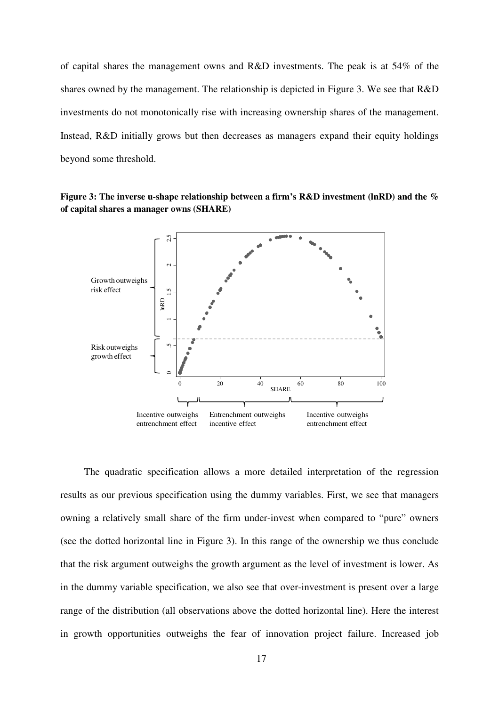of capital shares the management owns and R&D investments. The peak is at 54% of the shares owned by the management. The relationship is depicted in Figure 3. We see that R&D investments do not monotonically rise with increasing ownership shares of the management. Instead, R&D initially grows but then decreases as managers expand their equity holdings beyond some threshold.





The quadratic specification allows a more detailed interpretation of the regression results as our previous specification using the dummy variables. First, we see that managers owning a relatively small share of the firm under-invest when compared to "pure" owners (see the dotted horizontal line in Figure 3). In this range of the ownership we thus conclude that the risk argument outweighs the growth argument as the level of investment is lower. As in the dummy variable specification, we also see that over-investment is present over a large range of the distribution (all observations above the dotted horizontal line). Here the interest in growth opportunities outweighs the fear of innovation project failure. Increased job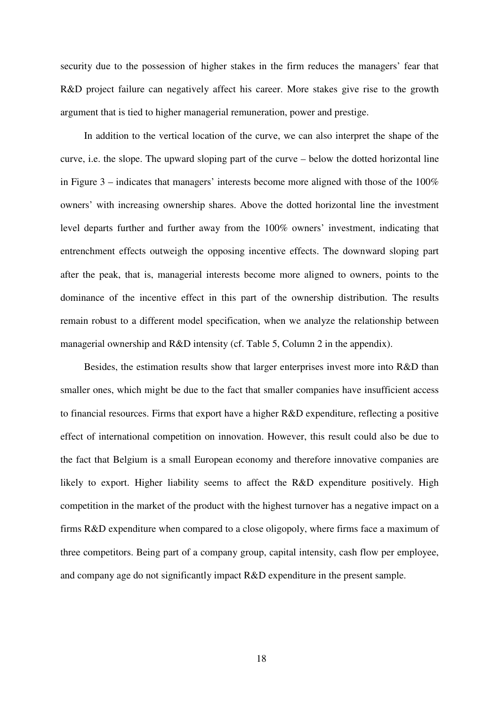security due to the possession of higher stakes in the firm reduces the managers' fear that R&D project failure can negatively affect his career. More stakes give rise to the growth argument that is tied to higher managerial remuneration, power and prestige.

In addition to the vertical location of the curve, we can also interpret the shape of the curve, i.e. the slope. The upward sloping part of the curve – below the dotted horizontal line in Figure 3 – indicates that managers' interests become more aligned with those of the 100% owners' with increasing ownership shares. Above the dotted horizontal line the investment level departs further and further away from the 100% owners' investment, indicating that entrenchment effects outweigh the opposing incentive effects. The downward sloping part after the peak, that is, managerial interests become more aligned to owners, points to the dominance of the incentive effect in this part of the ownership distribution. The results remain robust to a different model specification, when we analyze the relationship between managerial ownership and R&D intensity (cf. Table 5, Column 2 in the appendix).

Besides, the estimation results show that larger enterprises invest more into R&D than smaller ones, which might be due to the fact that smaller companies have insufficient access to financial resources. Firms that export have a higher R&D expenditure, reflecting a positive effect of international competition on innovation. However, this result could also be due to the fact that Belgium is a small European economy and therefore innovative companies are likely to export. Higher liability seems to affect the R&D expenditure positively. High competition in the market of the product with the highest turnover has a negative impact on a firms R&D expenditure when compared to a close oligopoly, where firms face a maximum of three competitors. Being part of a company group, capital intensity, cash flow per employee, and company age do not significantly impact R&D expenditure in the present sample.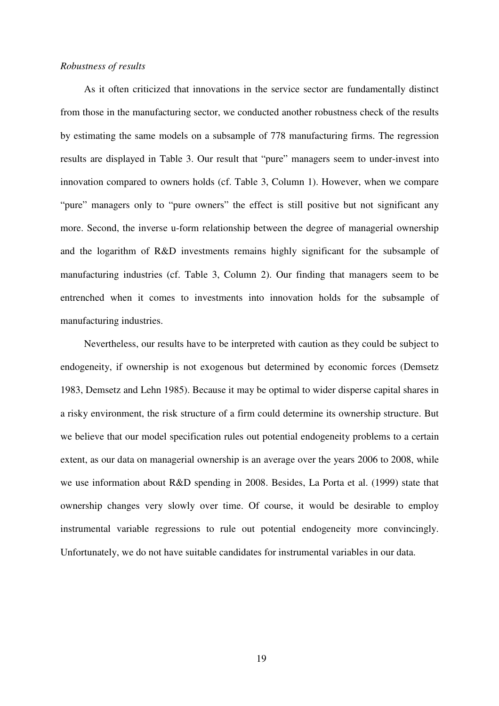#### *Robustness of results*

As it often criticized that innovations in the service sector are fundamentally distinct from those in the manufacturing sector, we conducted another robustness check of the results by estimating the same models on a subsample of 778 manufacturing firms. The regression results are displayed in Table 3. Our result that "pure" managers seem to under-invest into innovation compared to owners holds (cf. Table 3, Column 1). However, when we compare "pure" managers only to "pure owners" the effect is still positive but not significant any more. Second, the inverse u-form relationship between the degree of managerial ownership and the logarithm of R&D investments remains highly significant for the subsample of manufacturing industries (cf. Table 3, Column 2). Our finding that managers seem to be entrenched when it comes to investments into innovation holds for the subsample of manufacturing industries.

Nevertheless, our results have to be interpreted with caution as they could be subject to endogeneity, if ownership is not exogenous but determined by economic forces (Demsetz 1983, Demsetz and Lehn 1985). Because it may be optimal to wider disperse capital shares in a risky environment, the risk structure of a firm could determine its ownership structure. But we believe that our model specification rules out potential endogeneity problems to a certain extent, as our data on managerial ownership is an average over the years 2006 to 2008, while we use information about R&D spending in 2008. Besides, La Porta et al. (1999) state that ownership changes very slowly over time. Of course, it would be desirable to employ instrumental variable regressions to rule out potential endogeneity more convincingly. Unfortunately, we do not have suitable candidates for instrumental variables in our data.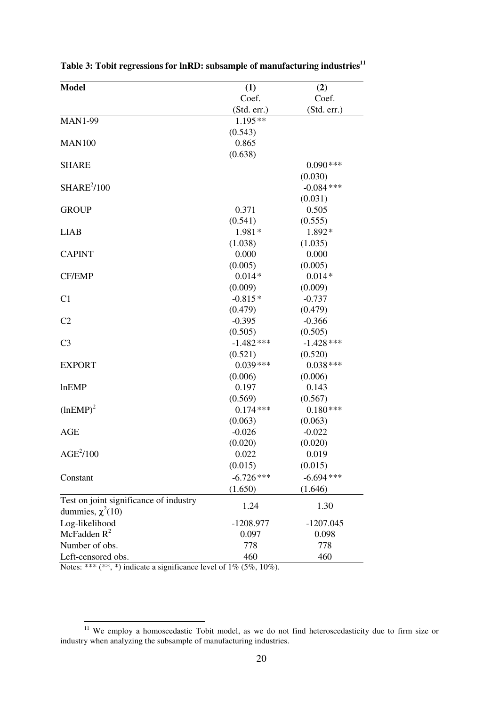| <b>Model</b>                           | (1)          | (2)          |
|----------------------------------------|--------------|--------------|
|                                        | Coef.        | Coef.        |
|                                        | (Std. err.)  | (Std. err.)  |
| <b>MAN1-99</b>                         | $1.195**$    |              |
|                                        | (0.543)      |              |
| <b>MAN100</b>                          | 0.865        |              |
|                                        | (0.638)      |              |
| <b>SHARE</b>                           |              | $0.090$ ***  |
|                                        |              | (0.030)      |
| SHARE <sup>2</sup> /100                |              | $-0.084$ *** |
|                                        |              | (0.031)      |
| <b>GROUP</b>                           | 0.371        | 0.505        |
|                                        | (0.541)      | (0.555)      |
| <b>LIAB</b>                            | 1.981*       | 1.892*       |
|                                        | (1.038)      | (1.035)      |
| <b>CAPINT</b>                          | 0.000        | 0.000        |
|                                        | (0.005)      | (0.005)      |
| <b>CF/EMP</b>                          | $0.014*$     | $0.014*$     |
|                                        | (0.009)      | (0.009)      |
| C1                                     | $-0.815*$    | $-0.737$     |
|                                        | (0.479)      | (0.479)      |
| C <sub>2</sub>                         | $-0.395$     | $-0.366$     |
|                                        | (0.505)      | (0.505)      |
| C <sub>3</sub>                         | $-1.482$ *** | $-1.428$ *** |
|                                        | (0.521)      | (0.520)      |
| <b>EXPORT</b>                          | $0.039***$   | $0.038***$   |
|                                        | (0.006)      | (0.006)      |
| lnEMP                                  | 0.197        | 0.143        |
|                                        | (0.569)      | (0.567)      |
| $(lnEMP)^2$                            | $0.174***$   | $0.180***$   |
|                                        | (0.063)      | (0.063)      |
| <b>AGE</b>                             | $-0.026$     | $-0.022$     |
|                                        | (0.020)      | (0.020)      |
| AGE <sup>2</sup> /100                  | 0.022        | 0.019        |
|                                        | (0.015)      | (0.015)      |
| Constant                               | $-6.726***$  | $-6.694***$  |
|                                        | (1.650)      | (1.646)      |
| Test on joint significance of industry |              |              |
| dummies, $\chi^2(10)$                  | 1.24         | 1.30         |
| Log-likelihood                         | $-1208.977$  | $-1207.045$  |
| McFadden $R^2$                         | 0.097        | 0.098        |
| Number of obs.                         | 778          | 778          |
| Left-censored obs.                     | 460          | 460          |

**Table 3: Tobit regressions for lnRD: subsample of manufacturing industries<sup>11</sup>**

Notes: \*\*\*  $(**,*)$  indicate a significance level of  $1\%$  (5%, 10%).

 $\overline{a}$ <sup>11</sup> We employ a homoscedastic Tobit model, as we do not find heteroscedasticity due to firm size or industry when analyzing the subsample of manufacturing industries.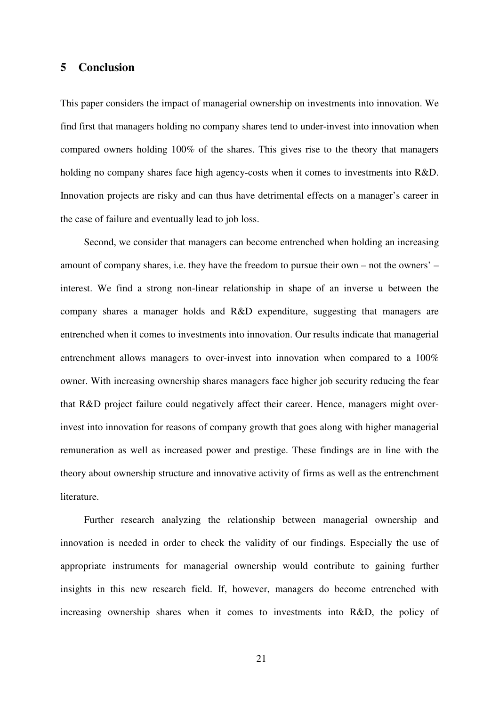### **5 Conclusion**

This paper considers the impact of managerial ownership on investments into innovation. We find first that managers holding no company shares tend to under-invest into innovation when compared owners holding 100% of the shares. This gives rise to the theory that managers holding no company shares face high agency-costs when it comes to investments into R&D. Innovation projects are risky and can thus have detrimental effects on a manager's career in the case of failure and eventually lead to job loss.

Second, we consider that managers can become entrenched when holding an increasing amount of company shares, i.e. they have the freedom to pursue their own – not the owners' – interest. We find a strong non-linear relationship in shape of an inverse u between the company shares a manager holds and R&D expenditure, suggesting that managers are entrenched when it comes to investments into innovation. Our results indicate that managerial entrenchment allows managers to over-invest into innovation when compared to a 100% owner. With increasing ownership shares managers face higher job security reducing the fear that R&D project failure could negatively affect their career. Hence, managers might overinvest into innovation for reasons of company growth that goes along with higher managerial remuneration as well as increased power and prestige. These findings are in line with the theory about ownership structure and innovative activity of firms as well as the entrenchment literature.

Further research analyzing the relationship between managerial ownership and innovation is needed in order to check the validity of our findings. Especially the use of appropriate instruments for managerial ownership would contribute to gaining further insights in this new research field. If, however, managers do become entrenched with increasing ownership shares when it comes to investments into R&D, the policy of

21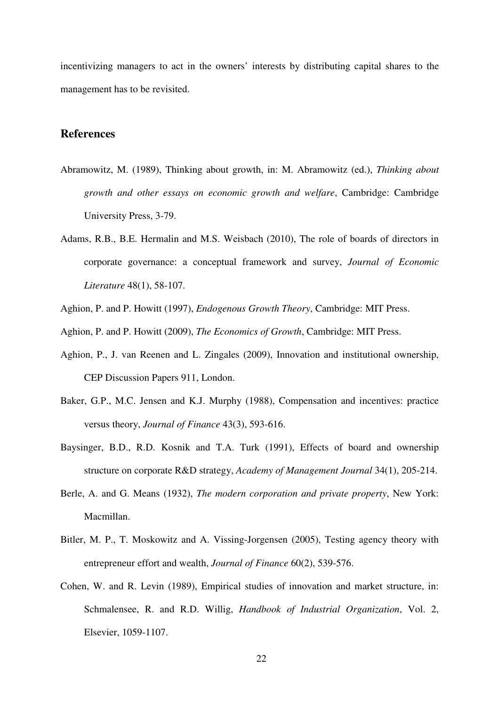incentivizing managers to act in the owners' interests by distributing capital shares to the management has to be revisited.

## **References**

- Abramowitz, M. (1989), Thinking about growth, in: M. Abramowitz (ed.), *Thinking about growth and other essays on economic growth and welfare*, Cambridge: Cambridge University Press, 3-79.
- Adams, R.B., B.E. Hermalin and M.S. Weisbach (2010), The role of boards of directors in corporate governance: a conceptual framework and survey, *Journal of Economic Literature* 48(1), 58-107.
- Aghion, P. and P. Howitt (1997), *Endogenous Growth Theory*, Cambridge: MIT Press.
- Aghion, P. and P. Howitt (2009), *The Economics of Growth*, Cambridge: MIT Press.
- Aghion, P., J. van Reenen and L. Zingales (2009), Innovation and institutional ownership, CEP Discussion Papers 911, London.
- Baker, G.P., M.C. Jensen and K.J. Murphy (1988), Compensation and incentives: practice versus theory, *Journal of Finance* 43(3), 593-616.
- Baysinger, B.D., R.D. Kosnik and T.A. Turk (1991), Effects of board and ownership structure on corporate R&D strategy, *Academy of Management Journal* 34(1), 205-214.
- Berle, A. and G. Means (1932), *The modern corporation and private property*, New York: Macmillan.
- Bitler, M. P., T. Moskowitz and A. Vissing-Jorgensen (2005), Testing agency theory with entrepreneur effort and wealth, *Journal of Finance* 60(2), 539-576.
- Cohen, W. and R. Levin (1989), Empirical studies of innovation and market structure, in: Schmalensee, R. and R.D. Willig, *Handbook of Industrial Organization*, Vol. 2, Elsevier, 1059-1107.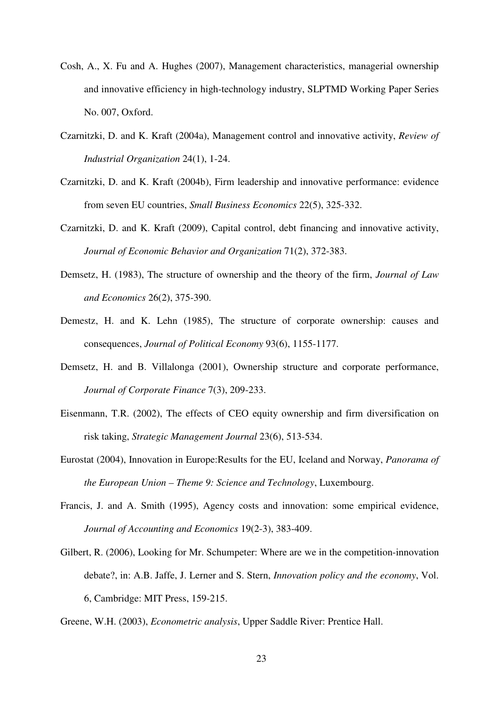- Cosh, A., X. Fu and A. Hughes (2007), Management characteristics, managerial ownership and innovative efficiency in high-technology industry, SLPTMD Working Paper Series No. 007, Oxford.
- Czarnitzki, D. and K. Kraft (2004a), Management control and innovative activity, *Review of Industrial Organization* 24(1), 1-24.
- Czarnitzki, D. and K. Kraft (2004b), Firm leadership and innovative performance: evidence from seven EU countries, *Small Business Economics* 22(5), 325-332.
- Czarnitzki, D. and K. Kraft (2009), Capital control, debt financing and innovative activity, *Journal of Economic Behavior and Organization* 71(2), 372-383.
- Demsetz, H. (1983), The structure of ownership and the theory of the firm, *Journal of Law and Economics* 26(2), 375-390.
- Demestz, H. and K. Lehn (1985), The structure of corporate ownership: causes and consequences, *Journal of Political Economy* 93(6), 1155-1177.
- Demsetz, H. and B. Villalonga (2001), Ownership structure and corporate performance, *Journal of Corporate Finance* 7(3), 209-233.
- Eisenmann, T.R. (2002), The effects of CEO equity ownership and firm diversification on risk taking, *Strategic Management Journal* 23(6), 513-534.
- Eurostat (2004), Innovation in Europe:Results for the EU, Iceland and Norway, *Panorama of the European Union – Theme 9: Science and Technology*, Luxembourg.
- Francis, J. and A. Smith (1995), Agency costs and innovation: some empirical evidence, *Journal of Accounting and Economics* 19(2-3), 383-409.
- Gilbert, R. (2006), Looking for Mr. Schumpeter: Where are we in the competition-innovation debate?, in: A.B. Jaffe, J. Lerner and S. Stern, *Innovation policy and the economy*, Vol. 6, Cambridge: MIT Press, 159-215.
- Greene, W.H. (2003), *Econometric analysis*, Upper Saddle River: Prentice Hall.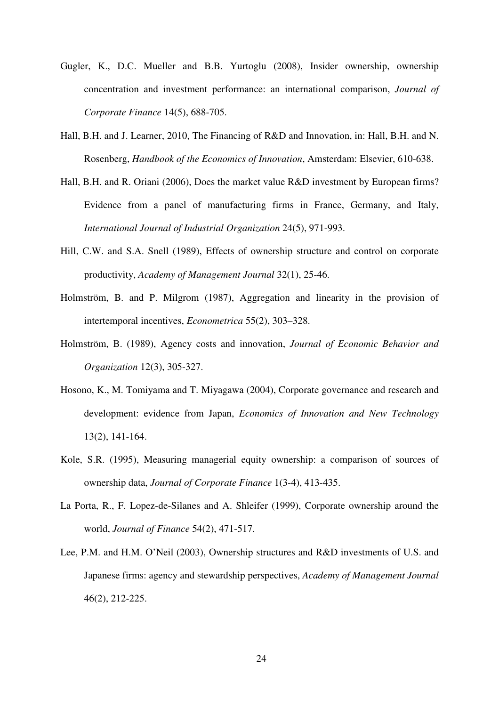- Gugler, K., D.C. Mueller and B.B. Yurtoglu (2008), Insider ownership, ownership concentration and investment performance: an international comparison, *Journal of Corporate Finance* 14(5), 688-705.
- Hall, B.H. and J. Learner, 2010, The Financing of R&D and Innovation, in: Hall, B.H. and N. Rosenberg, *Handbook of the Economics of Innovation*, Amsterdam: Elsevier, 610-638.
- Hall, B.H. and R. Oriani (2006), Does the market value R&D investment by European firms? Evidence from a panel of manufacturing firms in France, Germany, and Italy, *International Journal of Industrial Organization* 24(5), 971-993.
- Hill, C.W. and S.A. Snell (1989), Effects of ownership structure and control on corporate productivity, *Academy of Management Journal* 32(1), 25-46.
- Holmström, B. and P. Milgrom (1987), Aggregation and linearity in the provision of intertemporal incentives, *Econometrica* 55(2), 303–328.
- Holmström, B. (1989), Agency costs and innovation, *Journal of Economic Behavior and Organization* 12(3), 305-327.
- Hosono, K., M. Tomiyama and T. Miyagawa (2004), Corporate governance and research and development: evidence from Japan, *Economics of Innovation and New Technology* 13(2), 141-164.
- Kole, S.R. (1995), Measuring managerial equity ownership: a comparison of sources of ownership data, *Journal of Corporate Finance* 1(3-4), 413-435.
- La Porta, R., F. Lopez-de-Silanes and A. Shleifer (1999), Corporate ownership around the world, *Journal of Finance* 54(2), 471-517.
- Lee, P.M. and H.M. O'Neil (2003), Ownership structures and R&D investments of U.S. and Japanese firms: agency and stewardship perspectives, *Academy of Management Journal* 46(2), 212-225.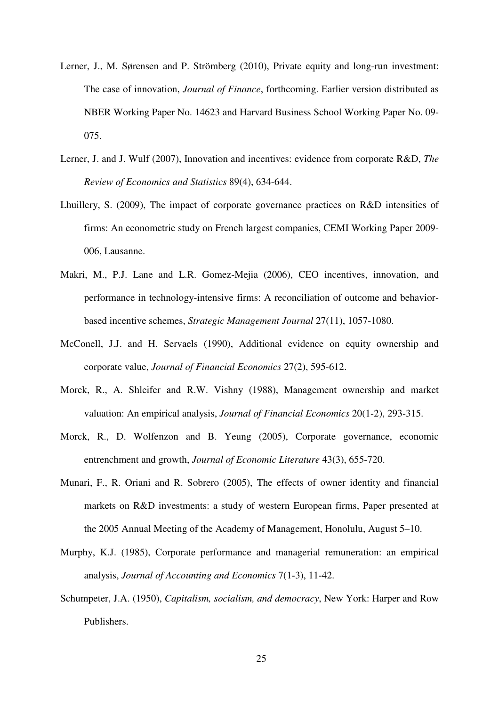- Lerner, J., M. Sørensen and P. Strömberg (2010), Private equity and long-run investment: The case of innovation, *Journal of Finance*, forthcoming. Earlier version distributed as NBER Working Paper No. 14623 and Harvard Business School Working Paper No. 09- 075.
- Lerner, J. and J. Wulf (2007), Innovation and incentives: evidence from corporate R&D, *The Review of Economics and Statistics* 89(4), 634-644.
- Lhuillery, S. (2009), The impact of corporate governance practices on R&D intensities of firms: An econometric study on French largest companies, CEMI Working Paper 2009- 006, Lausanne.
- Makri, M., P.J. Lane and L.R. Gomez-Mejia (2006), CEO incentives, innovation, and performance in technology-intensive firms: A reconciliation of outcome and behaviorbased incentive schemes, *Strategic Management Journal* 27(11), 1057-1080.
- McConell, J.J. and H. Servaels (1990), Additional evidence on equity ownership and corporate value, *Journal of Financial Economics* 27(2), 595-612.
- Morck, R., A. Shleifer and R.W. Vishny (1988), Management ownership and market valuation: An empirical analysis, *Journal of Financial Economics* 20(1-2), 293-315.
- Morck, R., D. Wolfenzon and B. Yeung (2005), Corporate governance, economic entrenchment and growth, *Journal of Economic Literature* 43(3), 655-720.
- Munari, F., R. Oriani and R. Sobrero (2005), The effects of owner identity and financial markets on R&D investments: a study of western European firms, Paper presented at the 2005 Annual Meeting of the Academy of Management, Honolulu, August 5–10.
- Murphy, K.J. (1985), Corporate performance and managerial remuneration: an empirical analysis, *Journal of Accounting and Economics* 7(1-3), 11-42.
- Schumpeter, J.A. (1950), *Capitalism, socialism, and democracy*, New York: Harper and Row Publishers.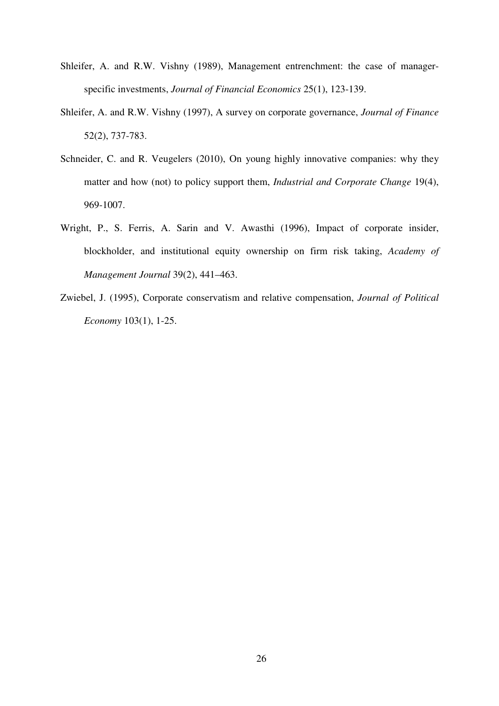- Shleifer, A. and R.W. Vishny (1989), Management entrenchment: the case of managerspecific investments, *Journal of Financial Economics* 25(1), 123-139.
- Shleifer, A. and R.W. Vishny (1997), A survey on corporate governance, *Journal of Finance* 52(2), 737-783.
- Schneider, C. and R. Veugelers (2010), On young highly innovative companies: why they matter and how (not) to policy support them, *Industrial and Corporate Change* 19(4), 969-1007.
- Wright, P., S. Ferris, A. Sarin and V. Awasthi (1996), Impact of corporate insider, blockholder, and institutional equity ownership on firm risk taking, *Academy of Management Journal* 39(2), 441–463.
- Zwiebel, J. (1995), Corporate conservatism and relative compensation, *Journal of Political Economy* 103(1), 1-25.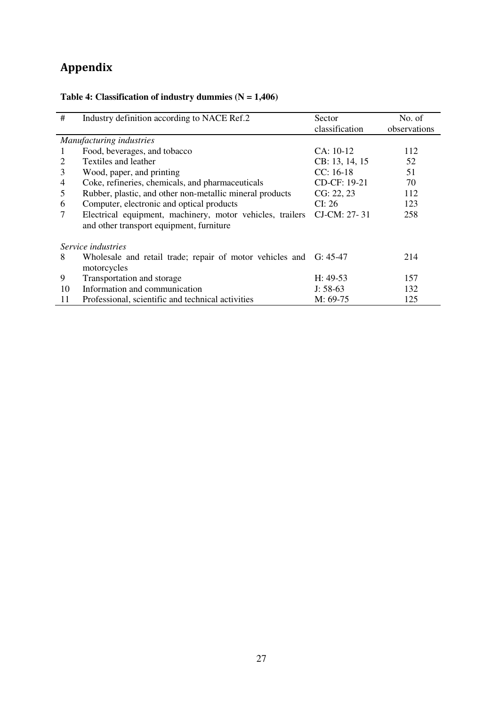# Appendix

## **Table 4: Classification of industry dummies (N = 1,406)**

| #              | Industry definition according to NACE Ref.2                                      | Sector         | No. of       |
|----------------|----------------------------------------------------------------------------------|----------------|--------------|
|                |                                                                                  | classification | observations |
|                | Manufacturing industries                                                         |                |              |
|                | Food, beverages, and tobacco                                                     | $CA: 10-12$    | 112          |
| 2              | Textiles and leather                                                             | CB: 13, 14, 15 | 52           |
| 3              | Wood, paper, and printing                                                        | $CC: 16-18$    | 51           |
| $\overline{4}$ | Coke, refineries, chemicals, and pharmaceuticals                                 | CD-CF: 19-21   | 70           |
| 5              | Rubber, plastic, and other non-metallic mineral products                         | CG: 22, 23     | 112          |
| 6              | Computer, electronic and optical products                                        | CI: 26         | 123          |
| 7              | Electrical equipment, machinery, motor vehicles, trailers                        | CJ-CM: 27-31   | 258          |
|                | and other transport equipment, furniture                                         |                |              |
|                |                                                                                  |                |              |
|                | Service industries                                                               |                |              |
| 8              | Wholesale and retail trade; repair of motor vehicles and G: 45-47<br>motorcycles |                | 214          |
| 9              | Transportation and storage                                                       | $H: 49-53$     | 157          |
| 10             | Information and communication                                                    | $J: 58-63$     | 132          |
| 11             | Professional, scientific and technical activities                                | $M: 69-75$     | 125          |